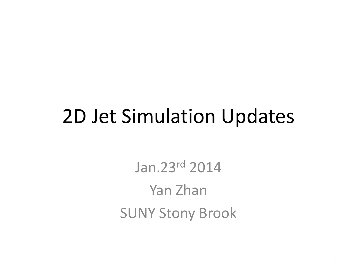### 2D Jet Simulation Updates

Jan.23r<sup>d</sup> 2014Yan Zhan SUNY Stony Brook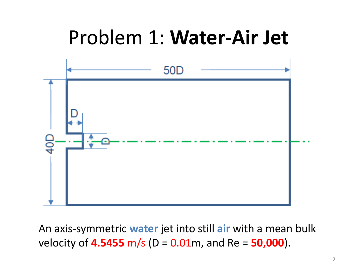### Problem 1: **Water‐Air Jet**



An axis‐symmetric **water** jet into still **air** with <sup>a</sup> mean bulk velocity of **4.5455** m/s (D <sup>=</sup> 0.01m, and Re <sup>=</sup> **50,000**).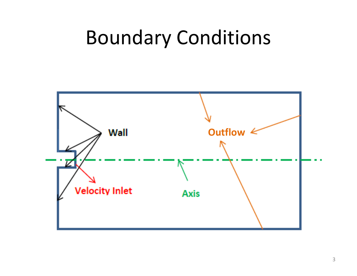### Boundary Conditions

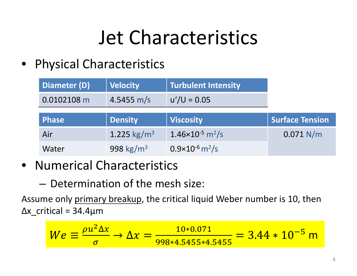# Jet Characteristics

• Physical Characteristics

| Diameter (D) | <b>Velocity</b>         | <b>Turbulent Intensity</b>            |                        |
|--------------|-------------------------|---------------------------------------|------------------------|
| 0.0102108 m  | 4.5455 m/s              | $u'/U = 0.05$                         |                        |
| <b>Phase</b> | <b>Density</b>          | <b>Viscosity</b>                      | <b>Surface Tension</b> |
|              |                         |                                       |                        |
| Air          | 1.225 kg/m <sup>3</sup> | $1.46\times10^{-5}$ m <sup>2</sup> /s | 0.071 N/m              |

- Numerical Characteristics
	- Determination of the mesh size:

Assume only <u>primary breakup</u>, the critical liquid Weber number is 10, then  $\Delta x$  critical = 34.4 $\mu$ m

$$
We \equiv \frac{\rho u^2 \Delta x}{\sigma} \to \Delta x = \frac{10*0.071}{998*4.5455*4.5455} = 3.44*10^{-5} \text{ m}
$$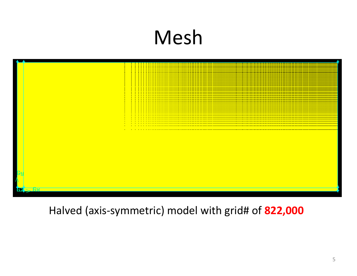# Mesh



Halved (axis‐symmetric) model with grid# of **822,000**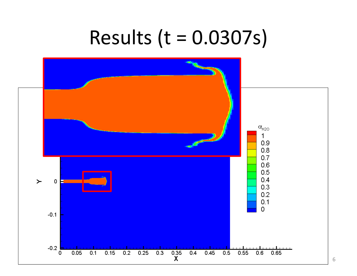### Results (t <sup>=</sup> 0.0307s)

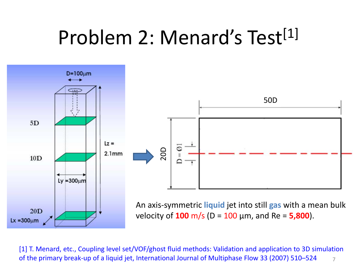## Problem 2: Menard's Test<sup>[1]</sup>



7[1] T. Menard, etc., Coupling level set/VOF/ghost fluid methods: Validation and application to 3D simulation of the primary break‐up of <sup>a</sup> liquid jet, International Journal of Multiphase Flow 33 (2007) 510–524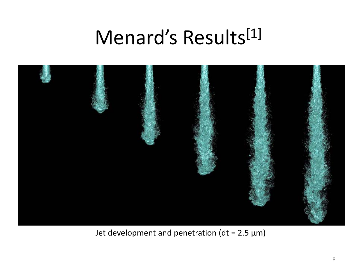### Menard's Results<sup>[1]</sup>



Jet development and penetration (dt <sup>=</sup> 2.5 μm)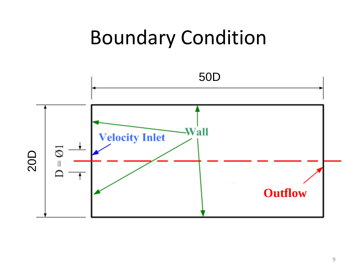### Boundary Condition

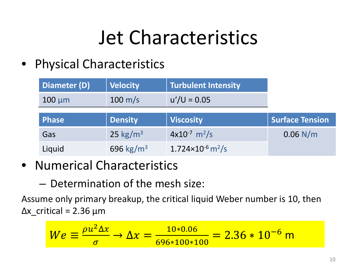# Jet Characteristics

• Physical Characteristics

| Diameter (D) | <b>Velocity</b>      | <b>Turbulent Intensity</b>    |                        |
|--------------|----------------------|-------------------------------|------------------------|
| $100 \mu m$  | $100 \text{ m/s}$    | $u'/U = 0.05$                 |                        |
| <b>Phase</b> | <b>Density</b>       | <b>Viscosity</b>              | <b>Surface Tension</b> |
|              |                      |                               |                        |
| Gas          | 25 kg/m <sup>3</sup> | $4x10^{-7}$ m <sup>2</sup> /s | $0.06$ N/m             |

- Numerical Characteristics
	- Determination of the mesh size:

Assume only primary breakup, the critical liquid Weber number is 10, then  $Δx$  critical = 2.36 μm

$$
We \equiv \frac{\rho u^2 \Delta x}{\sigma} \to \Delta x = \frac{10*0.06}{696*100*100} = 2.36*10^{-6} \text{ m}
$$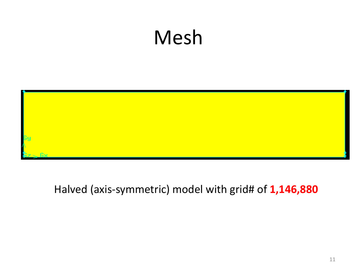## Mesh



#### Halved (axis‐symmetric) model with grid# of **1,146,880**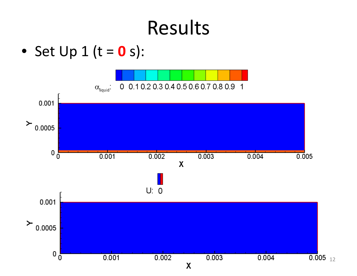• Set Up 1 (t <sup>=</sup> **0** s):



12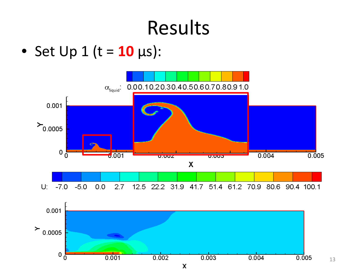• Set Up 1 (t <sup>=</sup> **10** μs):

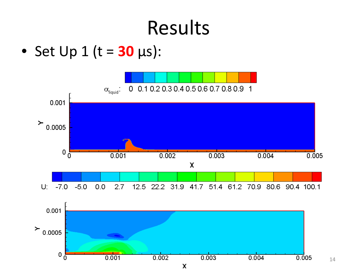• Set Up 1 (t <sup>=</sup> **30** μs):

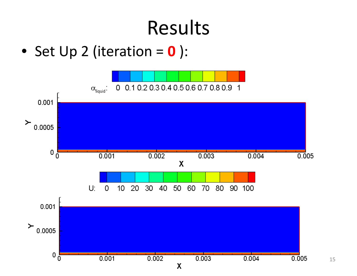• Set Up 2 (iteration <sup>=</sup> **0** ):



15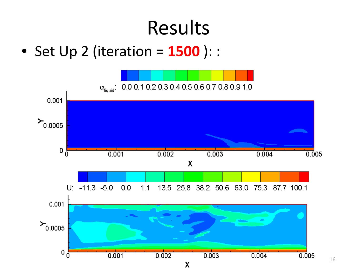• Set Up 2 (iteration <sup>=</sup> **1500** ): :

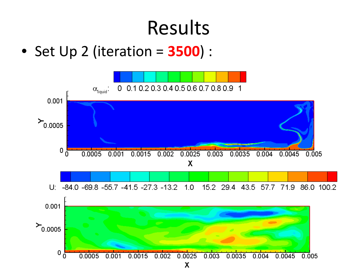• Set Up 2 (iteration <sup>=</sup> **3500**) :

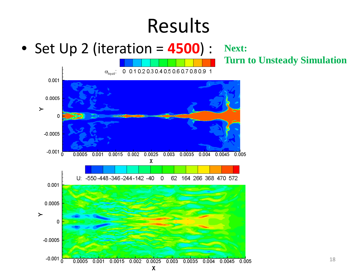• Set Up 2 (iteration <sup>=</sup> **4500**) : **Next:** 

**Turn to Unsteady Simulation**

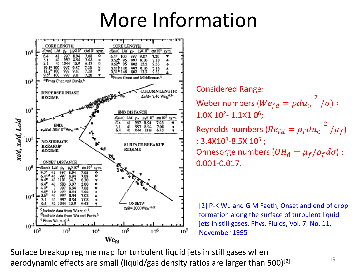### More Information



Considered Range: Weber numbers ( $We_{fd}=\rho du_0$  $^{2}$   $/\sigma)$  :  $1.0$ X  $10^{\sf 2}$ -  $1.1$ X $1$   $0^{\sf 6}$ ; Reynolds numbers ( $Re_{fd}=\rho_f du_0$  $^{2}$  / $\mu_{f}$ ) : 3.4X10<sup>3</sup>-8.5X 10<sup>5</sup> ; Ohnesorge numbers ( $OH_d=\mu_f/\rho_f d\sigma)$  : 0.001‐0.017.

[2] P-K Wu and G M Faeth, Onset and end of drop formation along the surface of turbulent liquid jets in still gases, Phys. Fluids, Vol. 7, No. 11, November 1995

Surface breakup regime map for turbulent liquid jets in still gases when aerodynamic effects are small (liquid/gas density ratios are larger than 500)<sup>[2]</sup>